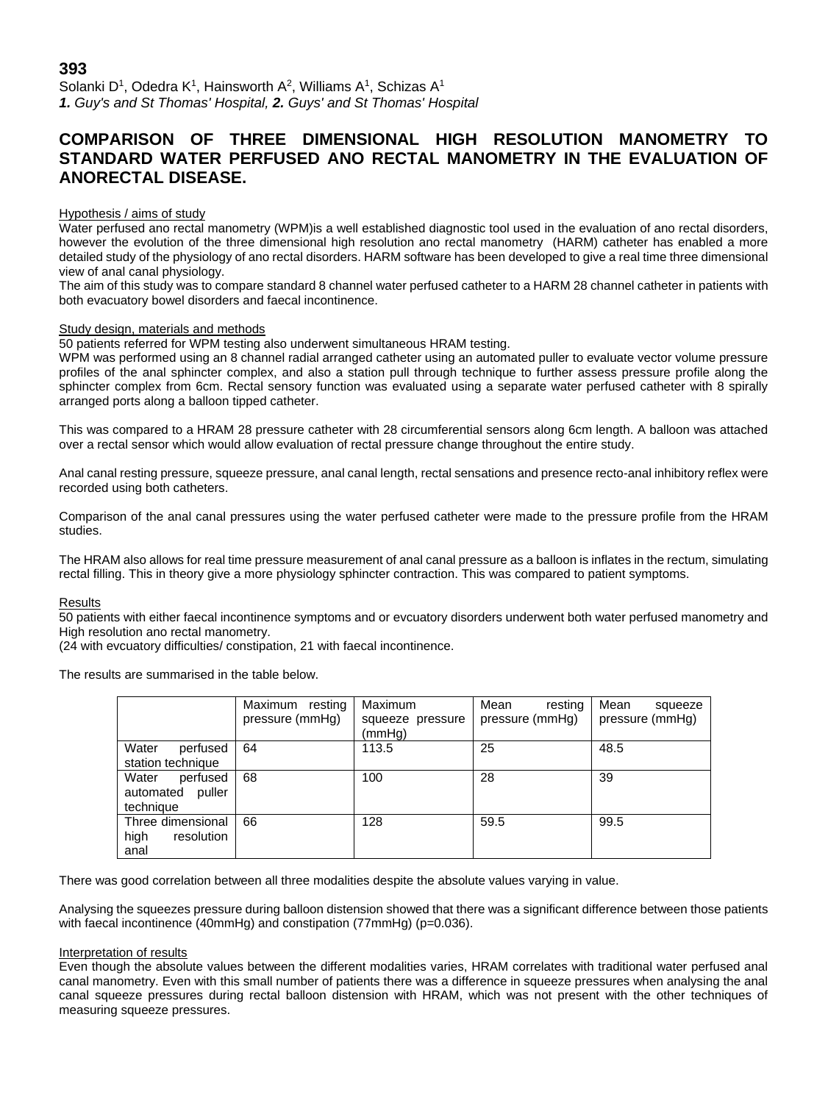Solanki D<sup>1</sup>, Odedra K<sup>1</sup>, Hainsworth A<sup>2</sup>, Williams A<sup>1</sup>, Schizas A<sup>1</sup> *1. Guy's and St Thomas' Hospital, 2. Guys' and St Thomas' Hospital*

# **COMPARISON OF THREE DIMENSIONAL HIGH RESOLUTION MANOMETRY TO STANDARD WATER PERFUSED ANO RECTAL MANOMETRY IN THE EVALUATION OF ANORECTAL DISEASE.**

# Hypothesis / aims of study

Water perfused ano rectal manometry (WPM)is a well established diagnostic tool used in the evaluation of ano rectal disorders, however the evolution of the three dimensional high resolution ano rectal manometry (HARM) catheter has enabled a more detailed study of the physiology of ano rectal disorders. HARM software has been developed to give a real time three dimensional view of anal canal physiology.

The aim of this study was to compare standard 8 channel water perfused catheter to a HARM 28 channel catheter in patients with both evacuatory bowel disorders and faecal incontinence.

# Study design, materials and methods

50 patients referred for WPM testing also underwent simultaneous HRAM testing.

WPM was performed using an 8 channel radial arranged catheter using an automated puller to evaluate vector volume pressure profiles of the anal sphincter complex, and also a station pull through technique to further assess pressure profile along the sphincter complex from 6cm. Rectal sensory function was evaluated using a separate water perfused catheter with 8 spirally arranged ports along a balloon tipped catheter.

This was compared to a HRAM 28 pressure catheter with 28 circumferential sensors along 6cm length. A balloon was attached over a rectal sensor which would allow evaluation of rectal pressure change throughout the entire study.

Anal canal resting pressure, squeeze pressure, anal canal length, rectal sensations and presence recto-anal inhibitory reflex were recorded using both catheters.

Comparison of the anal canal pressures using the water perfused catheter were made to the pressure profile from the HRAM studies.

The HRAM also allows for real time pressure measurement of anal canal pressure as a balloon is inflates in the rectum, simulating rectal filling. This in theory give a more physiology sphincter contraction. This was compared to patient symptoms.

#### Results

50 patients with either faecal incontinence symptoms and or evcuatory disorders underwent both water perfused manometry and High resolution ano rectal manometry.

(24 with evcuatory difficulties/ constipation, 21 with faecal incontinence.

The results are summarised in the table below.

|                                                       | Maximum resting<br>pressure (mmHg) | Maximum<br>squeeze pressure<br>(mmHg) | Mean<br>resting<br>pressure (mmHg) | Mean<br>squeeze<br>pressure (mmHg) |
|-------------------------------------------------------|------------------------------------|---------------------------------------|------------------------------------|------------------------------------|
| Water<br>perfused<br>station technique                | 64                                 | 113.5                                 | 25                                 | 48.5                               |
| Water<br>perfused<br>automated<br>puller<br>technique | 68                                 | 100                                   | 28                                 | 39                                 |
| Three dimensional<br>high<br>resolution<br>anal       | 66                                 | 128                                   | 59.5                               | 99.5                               |

There was good correlation between all three modalities despite the absolute values varying in value.

Analysing the squeezes pressure during balloon distension showed that there was a significant difference between those patients with faecal incontinence (40mmHg) and constipation (77mmHg) (p=0.036).

#### Interpretation of results

Even though the absolute values between the different modalities varies, HRAM correlates with traditional water perfused anal canal manometry. Even with this small number of patients there was a difference in squeeze pressures when analysing the anal canal squeeze pressures during rectal balloon distension with HRAM, which was not present with the other techniques of measuring squeeze pressures.